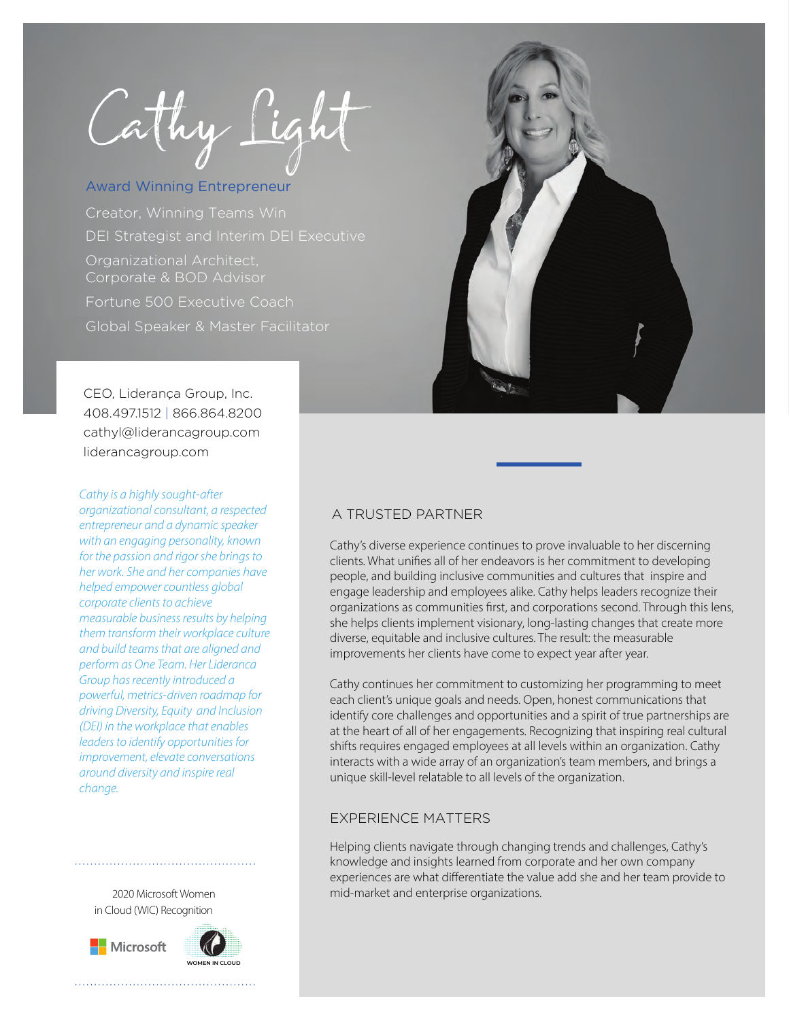Cathy Lig

## Award Winning Entrepreneur

DEI Strategist and Interim DEI Executive Creator, Winning Teams Win Organizational Architect, Fortune 500 Executive Coach Global Speaker & Master Facilitator

CEO, Liderança Group, Inc. 408.497.1512 | 866.864.8200 cathyl@liderancagroup.com liderancagroup.com

*Cathy is a highly sought-after organizational consultant, a respected* 

*entrepreneur and a dynamic speaker with an engaging personality, known for the passion and rigor she brings to her work. She and her companies have helped empower countless global corporate clients to achieve measurable business results by helping them transform their workplace culture and build teams that are aligned and perform as One Team. Her Lideranca Group has recently introduced a powerful, metrics-driven roadmap for driving Diversity, Equity and Inclusion (DEI) in the workplace that enables leaders to identify opportunities for improvement, elevate conversations around diversity and inspire real change.* 

2020 Microsoft Women in Cloud (WIC) Recognition







## A TRUSTED PARTNER

Cathy's diverse experience continues to prove invaluable to her discerning clients. What unifies all of her endeavors is her commitment to developing people, and building inclusive communities and cultures that inspire and engage leadership and employees alike. Cathy helps leaders recognize their organizations as communities first, and corporations second. Through this lens, she helps clients implement visionary, long-lasting changes that create more diverse, equitable and inclusive cultures. The result: the measurable improvements her clients have come to expect year after year.

Cathy continues her commitment to customizing her programming to meet each client's unique goals and needs. Open, honest communications that identify core challenges and opportunities and a spirit of true partnerships are at the heart of all of her engagements. Recognizing that inspiring real cultural shifts requires engaged employees at all levels within an organization. Cathy interacts with a wide array of an organization's team members, and brings a unique skill-level relatable to all levels of the organization.

## EXPERIENCE MATTERS

Helping clients navigate through changing trends and challenges, Cathy's knowledge and insights learned from corporate and her own company experiences are what differentiate the value add she and her team provide to mid-market and enterprise organizations.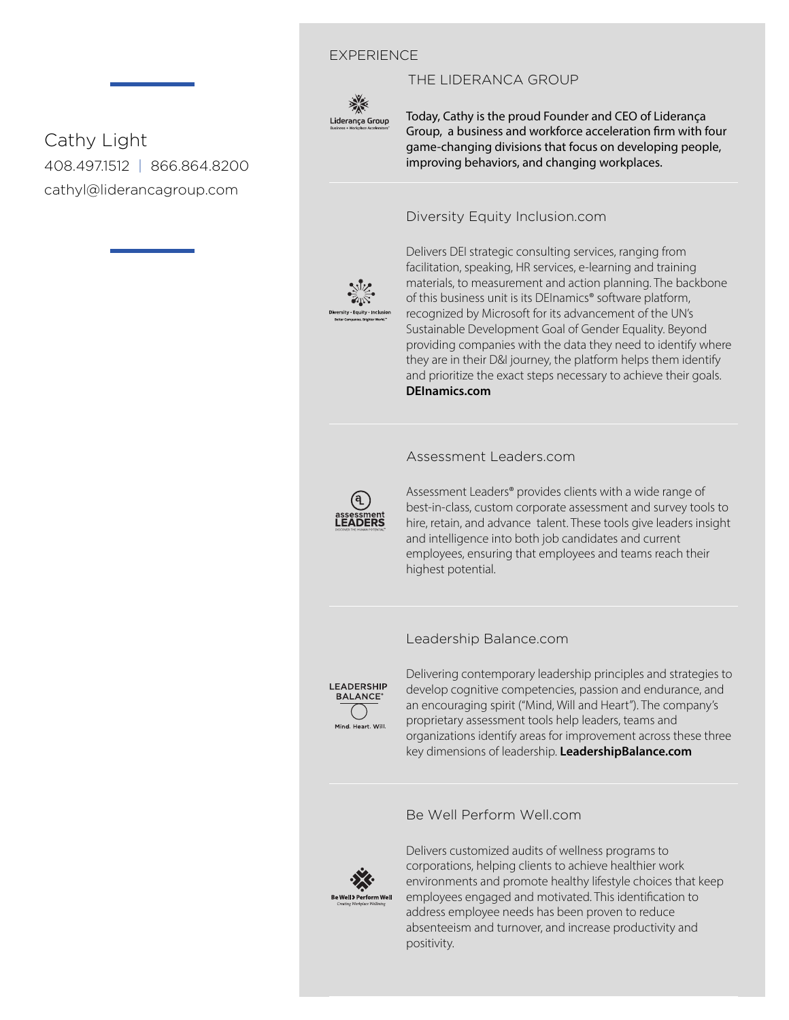## EXPERIENCE



Today, Cathy is the proud Founder and CEO of Liderança Group, a business and workforce acceleration firm with four game-changing divisions that focus on developing people, improving behaviors, and changing workplaces.

## Diversity Equity Inclusion.com

THE LIDERANCA GROUP



materials, to measurement and action planning. The backbone facilitation, speaking, HR services, e-learning and training Delivers DEI strategic consulting services, ranging from of this business unit is its DEInamics® software platform, recognized by Microsoft for its advancement of the UN's Sustainable Development Goal of Gender Equality. Beyond providing companies with the data they need to identify where they are in their D&I journey, the platform helps them identify and prioritize the exact steps necessary to achieve their goals. **DEInamics.com**

#### Assessment Leaders.com



*elevating performance* Assessment Leaders® provides clients with a wide range of best-in-class, custom corporate assessment and survey tools to hire, retain, and advance talent. These tools give leaders insight and intelligence into both job candidates and current employees, ensuring that employees and teams reach their highest potential.

#### Leadership Balance.com



Delivering contemporary leadership principles and strategies to develop cognitive competencies, passion and endurance, and an encouraging spirit ("Mind, Will and Heart"). The company's proprietary assessment tools help leaders, teams and organizations identify areas for improvement across these three key dimensions of leadership. **LeadershipBalance.com**

## Be Well Perform Well.com



Delivers customized audits of wellness programs to corporations, helping clients to achieve healthier work environments and promote healthy lifestyle choices that keep employees engaged and motivated. This identification to address employee needs has been proven to reduce absenteeism and turnover, and increase productivity and positivity.

Cathy Light 408.497.1512 | 866.864.8200 cathyl@liderancagroup.com